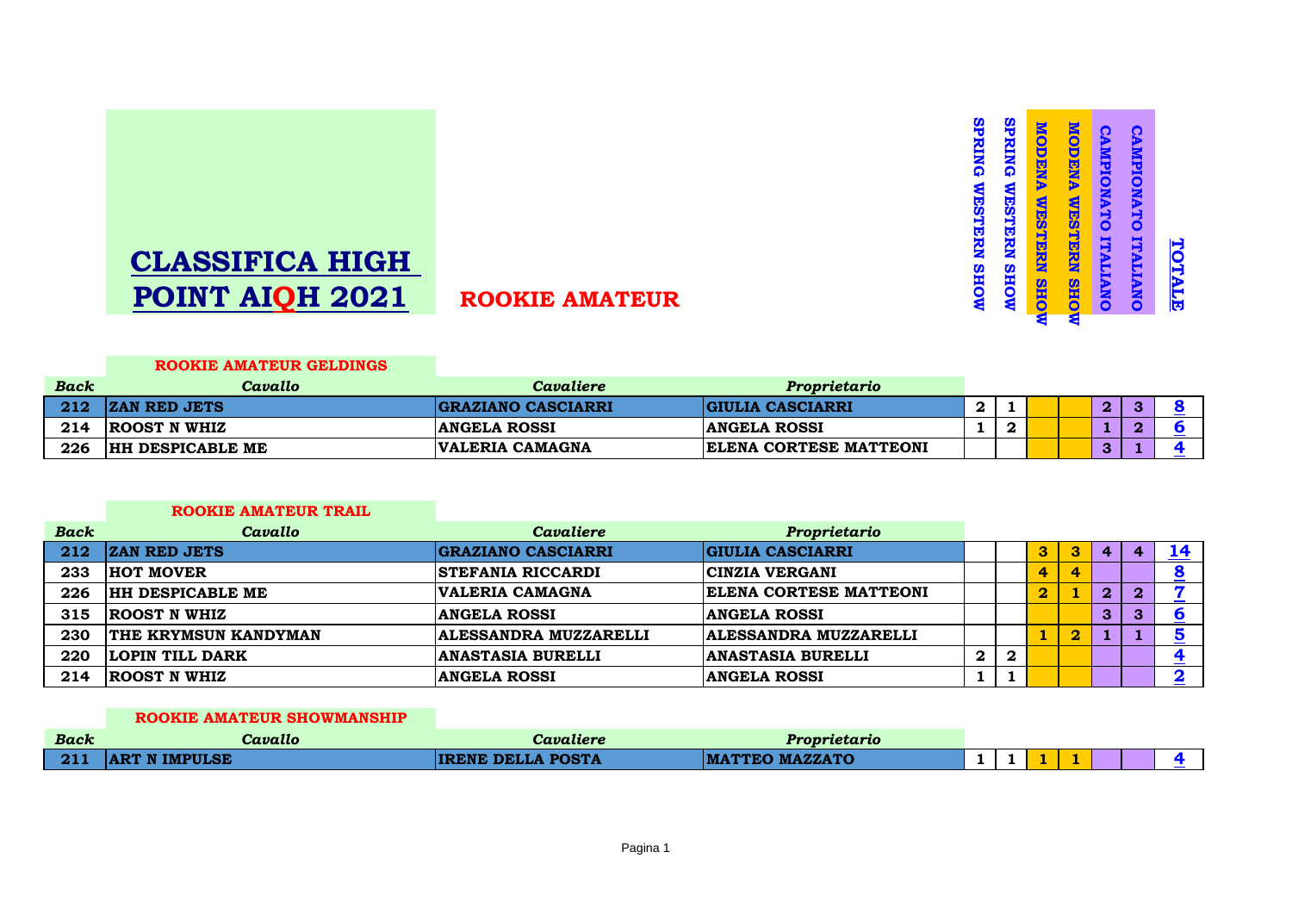

# **CLASSIFICA HIGH POINT AIQH 2021 ROOKIE AMATEUR**

#### **ROOKIE AMATEUR GELDINGS**

| <b>Back</b> | Cavallo                 | Cavaliere                 | Proprietario                  |  |  |                |   |  |
|-------------|-------------------------|---------------------------|-------------------------------|--|--|----------------|---|--|
|             | <b>ZAN RED JETS</b>     | <b>GRAZIANO CASCIARRI</b> | <b>GIULIA CASCIARRI</b>       |  |  | $\overline{2}$ | œ |  |
| 214         | <b>ROOST N WHIZ</b>     | <b>ANGELA ROSSI</b>       | <b>ANGELA ROSSI</b>           |  |  |                |   |  |
| 226         | <b>HH DESPICABLE ME</b> | <b>VALERIA CAMAGNA</b>    | <b>ELENA CORTESE MATTEONI</b> |  |  | 3              |   |  |

### **ROOKIE AMATEUR TRAIL**

| <b>Back</b> | Cavallo                     | <b>Cavaliere</b>          | Proprietario                  |                  |                  |                         |                         |              |              |  |
|-------------|-----------------------------|---------------------------|-------------------------------|------------------|------------------|-------------------------|-------------------------|--------------|--------------|--|
| 212         | <b>ZAN RED JETS</b>         | <b>GRAZIANO CASCIARRI</b> | <b>GIULIA CASCIARRI</b>       |                  |                  | 3                       | 3                       | 4            |              |  |
| 233         | <b>HOT MOVER</b>            | <b>STEFANIA RICCARDI</b>  | <b>CINZIA VERGANI</b>         |                  |                  | 4                       | 4                       |              |              |  |
| 226         | <b>HH DESPICABLE ME</b>     | VALERIA CAMAGNA           | <b>ELENA CORTESE MATTEONI</b> |                  |                  | $\overline{\mathbf{2}}$ |                         | $\mathbf{2}$ | $\mathbf{2}$ |  |
| 315         | <b>ROOST N WHIZ</b>         | <b>ANGELA ROSSI</b>       | <b>ANGELA ROSSI</b>           |                  |                  |                         |                         | 3            | 3            |  |
| 230         | <b>THE KRYMSUN KANDYMAN</b> | ALESSANDRA MUZZARELLI     | <b>ALESSANDRA MUZZARELLI</b>  |                  |                  |                         | $\overline{\mathbf{2}}$ |              |              |  |
| 220         | <b>LOPIN TILL DARK</b>      | <b>ANASTASIA BURELLI</b>  | <b>ANASTASIA BURELLI</b>      | $\boldsymbol{2}$ | $\boldsymbol{2}$ |                         |                         |              |              |  |
| 214         | <b>ROOST N WHIZ</b>         | <b>ANGELA ROSSI</b>       | <b>ANGELA ROSSI</b>           |                  |                  |                         |                         |              |              |  |

#### **ROOKIE AMATEUR SHOWMANSHIP**

| <b>Back</b> | Cavallo              | Cavaliere                | Proprietario                 |  |  |  |  |
|-------------|----------------------|--------------------------|------------------------------|--|--|--|--|
|             | <b>ART N IMPULSE</b> | <b>IRENE DELLA POSTA</b> | <b>IATTEO MAZZATO</b><br>IMA |  |  |  |  |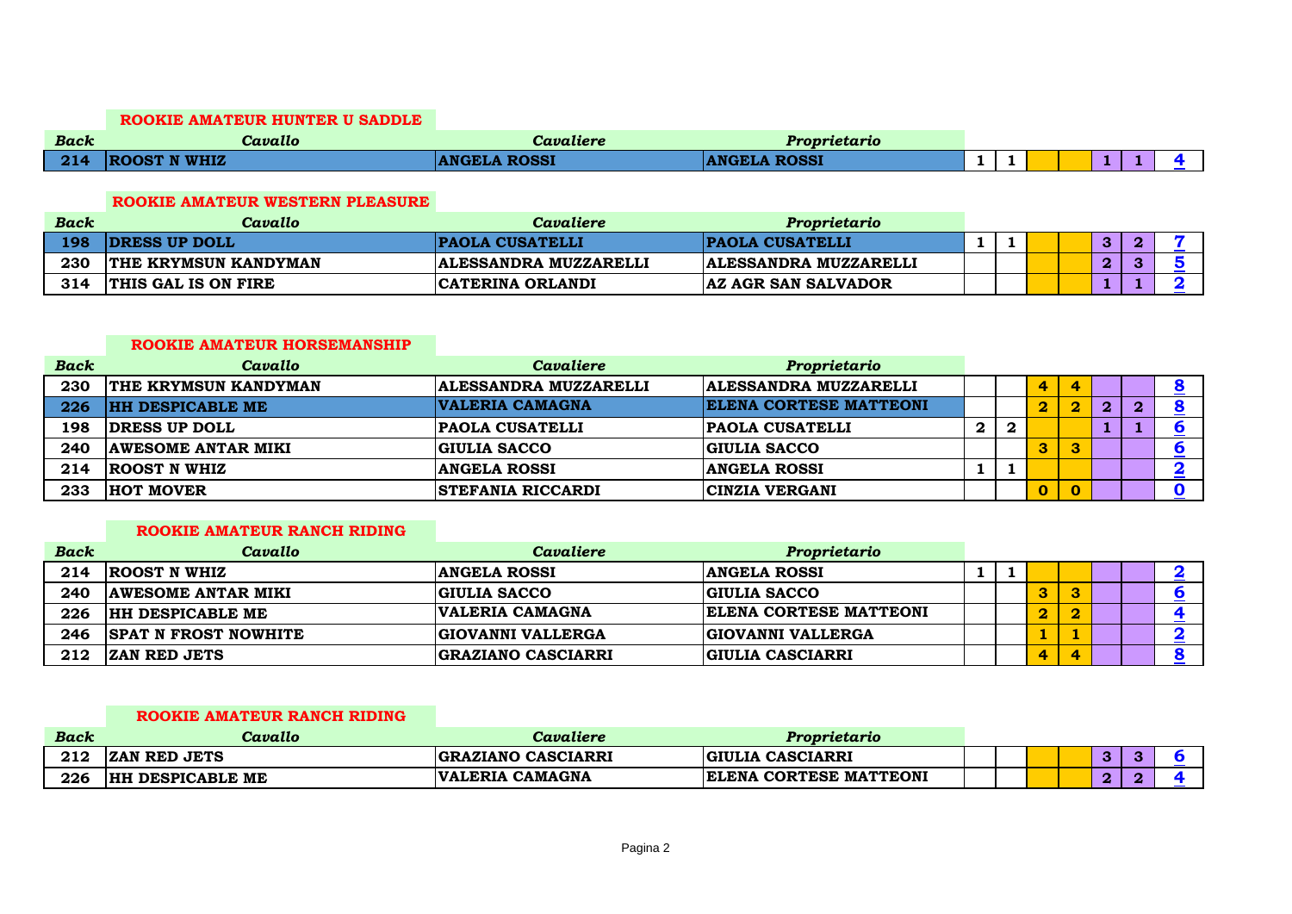#### **ROOKIE AMATEUR HUNTER U SADDLE**

| <b>Back</b> | - -<br>Cavallo      | Cavaliere           | Proprietario        |   |  |   |  |
|-------------|---------------------|---------------------|---------------------|---|--|---|--|
| 214         | <b>ROOST N WHIZ</b> | <b>ANGELA ROSSI</b> | <b>ANGELA ROSSI</b> | _ |  | _ |  |

#### **ROOKIE AMATEUR WESTERN PLEASURE**

| <b>Back</b> | Cavallo                     | Cavaliere                    | Proprietario                 |  |  |   |  |
|-------------|-----------------------------|------------------------------|------------------------------|--|--|---|--|
| 198         | <b>IDRESS UP DOLL</b>       | <b>PAOLA CUSATELLI</b>       | <b>PAOLA CUSATELLI</b>       |  |  | 3 |  |
| 230         | <b>THE KRYMSUN KANDYMAN</b> | <b>ALESSANDRA MUZZARELLI</b> | <b>ALESSANDRA MUZZARELLI</b> |  |  | റ |  |
| 314         | <b>THIS GAL IS ON FIRE</b>  | <b>CATERINA ORLANDI</b>      | <b>AZ AGR SAN SALVADOR</b>   |  |  |   |  |

#### **ROOKIE AMATEUR HORSEMANSHIP**

| <b>Back</b> | Cavallo                     | Cavaliere                    | Proprietario                 |              |              |                         |                         |   |          |  |
|-------------|-----------------------------|------------------------------|------------------------------|--------------|--------------|-------------------------|-------------------------|---|----------|--|
| 230         | <b>THE KRYMSUN KANDYMAN</b> | <b>ALESSANDRA MUZZARELLI</b> | <b>ALESSANDRA MUZZARELLI</b> |              |              | 4                       | 4                       |   |          |  |
| 226         | <b>HH DESPICABLE ME</b>     | VALERIA CAMAGNA              | ELENA CORTESE MATTEONI       |              |              | $\overline{\mathbf{2}}$ | $\overline{\mathbf{2}}$ | 2 | $\bf{2}$ |  |
| 198         | <b>DRESS UP DOLL</b>        | <b>PAOLA CUSATELLI</b>       | <b>PAOLA CUSATELLI</b>       | $\mathbf{2}$ | $\mathbf{2}$ |                         |                         |   |          |  |
| 240         | <b>AWESOME ANTAR MIKI</b>   | <b>GIULIA SACCO</b>          | <b>GIULIA SACCO</b>          |              |              | 3                       | 3                       |   |          |  |
| 214         | <b>ROOST N WHIZ</b>         | <b>ANGELA ROSSI</b>          | <b>ANGELA ROSSI</b>          |              |              |                         |                         |   |          |  |
| 233         | <b>HOT MOVER</b>            | <b>STEFANIA RICCARDI</b>     | CINZIA VERGANI               |              |              | $\mathbf{0}$            | $\mathbf{0}$            |   |          |  |

## **ROOKIE AMATEUR RANCH RIDING**

| <b>Back</b> | Cavallo                     | Cavaliere                 | Proprietario             |  |                |   |  |  |
|-------------|-----------------------------|---------------------------|--------------------------|--|----------------|---|--|--|
| 214         | <b>ROOST N WHIZ</b>         | <b>ANGELA ROSSI</b>       | <b>ANGELA ROSSI</b>      |  |                |   |  |  |
| 240         | <b>AWESOME ANTAR MIKI</b>   | <b>GIULIA SACCO</b>       | <b>GIULIA SACCO</b>      |  | 3              | 3 |  |  |
| 226         | <b>HH DESPICABLE ME</b>     | VALERIA CAMAGNA           | ELENA CORTESE MATTEONI   |  | $\overline{2}$ | 2 |  |  |
| 246         | <b>SPAT N FROST NOWHITE</b> | <b>GIOVANNI VALLERGA</b>  | <b>GIOVANNI VALLERGA</b> |  |                |   |  |  |
| 212         | <b>ZAN RED JETS</b>         | <b>GRAZIANO CASCIARRI</b> | <b>GIULIA CASCIARRI</b>  |  | 4              | 4 |  |  |

# **ROOKIE AMATEUR RANCH RIDING**

| <b>Back</b> | Cavallo                             | Cavaliere                        | Proprietario                  |  |  |   |  |
|-------------|-------------------------------------|----------------------------------|-------------------------------|--|--|---|--|
| 212         | <b>ZAN RED JETS</b>                 | <b>GRAZIANO CASCIARRI</b>        | <b>GIULIA CASCIARRI</b>       |  |  | - |  |
| 226         | <b>I DESPICABLE ME</b><br><b>HH</b> | <b>CAMAGNA</b><br><b>VALERIA</b> | <b>ELENA CORTESE MATTEONI</b> |  |  | c |  |